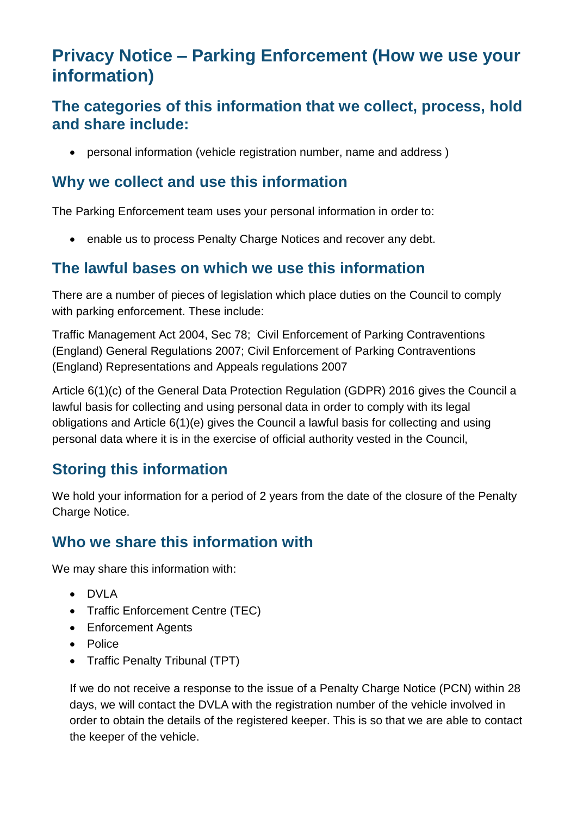# **Privacy Notice – Parking Enforcement (How we use your information)**

#### **The categories of this information that we collect, process, hold and share include:**

• personal information (vehicle registration number, name and address )

#### **Why we collect and use this information**

The Parking Enforcement team uses your personal information in order to:

• enable us to process Penalty Charge Notices and recover any debt.

### **The lawful bases on which we use this information**

There are a number of pieces of legislation which place duties on the Council to comply with parking enforcement. These include:

Traffic Management Act 2004, Sec 78; Civil Enforcement of Parking Contraventions (England) General Regulations 2007; Civil Enforcement of Parking Contraventions (England) Representations and Appeals regulations 2007

Article 6(1)(c) of the General Data Protection Regulation (GDPR) 2016 gives the Council a lawful basis for collecting and using personal data in order to comply with its legal obligations and Article 6(1)(e) gives the Council a lawful basis for collecting and using personal data where it is in the exercise of official authority vested in the Council,

## **Storing this information**

We hold your information for a period of 2 years from the date of the closure of the Penalty Charge Notice.

## **Who we share this information with**

We may share this information with:

- DVLA
- Traffic Enforcement Centre (TEC)
- Enforcement Agents
- Police
- Traffic Penalty Tribunal (TPT)

If we do not receive a response to the issue of a Penalty Charge Notice (PCN) within 28 days, we will contact the DVLA with the registration number of the vehicle involved in order to obtain the details of the registered keeper. This is so that we are able to contact the keeper of the vehicle.